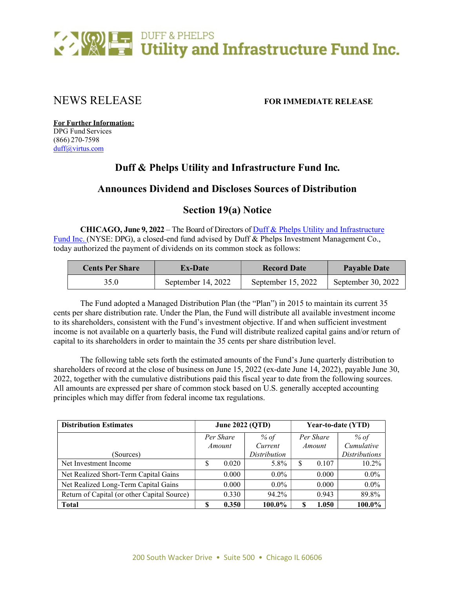

# NEWS RELEASE FOR IMMEDIATE RELEASE

For Further Information: DPG Fund Services (866) 270-7598 duff@virtus.com

## Duff & Phelps Utility and Infrastructure Fund Inc.

## Announces Dividend and Discloses Sources of Distribution

## Section 19(a) Notice

CHICAGO, June 9, 2022 – The Board of Directors of Duff & Phelps Utility and Infrastructure Fund Inc. (NYSE: DPG), a closed-end fund advised by Duff & Phelps Investment Management Co., today authorized the payment of dividends on its common stock as follows:

| <b>Cents Per Share</b> | <b>Ex-Date</b>     | <b>Record Date</b> | <b>Payable Date</b> |  |
|------------------------|--------------------|--------------------|---------------------|--|
| 35.0                   | September 14, 2022 | September 15, 2022 | September 30, 2022  |  |

The Fund adopted a Managed Distribution Plan (the "Plan") in 2015 to maintain its current 35 cents per share distribution rate. Under the Plan, the Fund will distribute all available investment income to its shareholders, consistent with the Fund's investment objective. If and when sufficient investment income is not available on a quarterly basis, the Fund will distribute realized capital gains and/or return of capital to its shareholders in order to maintain the 35 cents per share distribution level.

The following table sets forth the estimated amounts of the Fund's June quarterly distribution to shareholders of record at the close of business on June 15, 2022 (ex-date June 14, 2022), payable June 30, 2022, together with the cumulative distributions paid this fiscal year to date from the following sources. All amounts are expressed per share of common stock based on U.S. generally accepted accounting principles which may differ from federal income tax regulations.

| <b>Distribution Estimates</b>               |           | <b>June 2022 (QTD)</b> |              |           | Year-to-date (YTD) |                      |  |
|---------------------------------------------|-----------|------------------------|--------------|-----------|--------------------|----------------------|--|
|                                             | Per Share |                        | % of         | Per Share |                    | % of                 |  |
|                                             |           | Amount                 | Current      | Amount    |                    | Cumulative           |  |
| (Sources)                                   |           |                        | Distribution |           |                    | <b>Distributions</b> |  |
| Net Investment Income                       | \$        | 0.020                  | 5.8%         | S         | 0.107              | $10.2\%$             |  |
| Net Realized Short-Term Capital Gains       |           | 0.000                  | $0.0\%$      |           | 0.000              | $0.0\%$              |  |
| Net Realized Long-Term Capital Gains        |           | 0.000                  | $0.0\%$      |           | 0.000              | $0.0\%$              |  |
| Return of Capital (or other Capital Source) |           | 0.330                  | 94.2%        |           | 0.943              | 89.8%                |  |
| Total                                       |           | 0.350                  | 100.0%       | S         | 1.050              | 100.0%               |  |